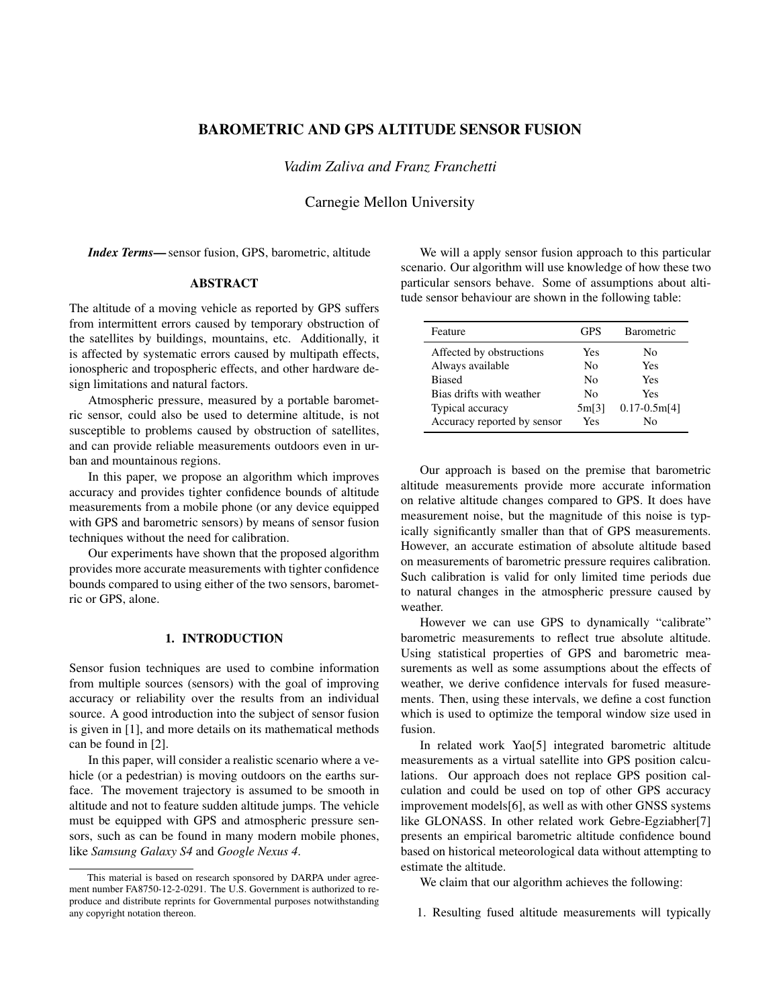# BAROMETRIC AND GPS ALTITUDE SENSOR FUSION

*Vadim Zaliva and Franz Franchetti*

Carnegie Mellon University

*Index Terms*—sensor fusion, GPS, barometric, altitude

### ABSTRACT

The altitude of a moving vehicle as reported by GPS suffers from intermittent errors caused by temporary obstruction of the satellites by buildings, mountains, etc. Additionally, it is affected by systematic errors caused by multipath effects, ionospheric and tropospheric effects, and other hardware design limitations and natural factors.

Atmospheric pressure, measured by a portable barometric sensor, could also be used to determine altitude, is not susceptible to problems caused by obstruction of satellites, and can provide reliable measurements outdoors even in urban and mountainous regions.

In this paper, we propose an algorithm which improves accuracy and provides tighter confidence bounds of altitude measurements from a mobile phone (or any device equipped with GPS and barometric sensors) by means of sensor fusion techniques without the need for calibration.

Our experiments have shown that the proposed algorithm provides more accurate measurements with tighter confidence bounds compared to using either of the two sensors, barometric or GPS, alone.

# 1. INTRODUCTION

Sensor fusion techniques are used to combine information from multiple sources (sensors) with the goal of improving accuracy or reliability over the results from an individual source. A good introduction into the subject of sensor fusion is given in [1], and more details on its mathematical methods can be found in [2].

In this paper, will consider a realistic scenario where a vehicle (or a pedestrian) is moving outdoors on the earths surface. The movement trajectory is assumed to be smooth in altitude and not to feature sudden altitude jumps. The vehicle must be equipped with GPS and atmospheric pressure sensors, such as can be found in many modern mobile phones, like *Samsung Galaxy S4* and *Google Nexus 4*.

We will a apply sensor fusion approach to this particular scenario. Our algorithm will use knowledge of how these two particular sensors behave. Some of assumptions about altitude sensor behaviour are shown in the following table:

| <b>GPS</b> | <b>Barometric</b> |
|------------|-------------------|
| Yes        | No                |
| Nο         | Yes               |
| Nο         | Yes               |
| Nο         | Yes               |
| 5m[3]      | $0.17 - 0.5m[4]$  |
| Yes        | N٥                |
|            |                   |

Our approach is based on the premise that barometric altitude measurements provide more accurate information on relative altitude changes compared to GPS. It does have measurement noise, but the magnitude of this noise is typically significantly smaller than that of GPS measurements. However, an accurate estimation of absolute altitude based on measurements of barometric pressure requires calibration. Such calibration is valid for only limited time periods due to natural changes in the atmospheric pressure caused by weather.

However we can use GPS to dynamically "calibrate" barometric measurements to reflect true absolute altitude. Using statistical properties of GPS and barometric measurements as well as some assumptions about the effects of weather, we derive confidence intervals for fused measurements. Then, using these intervals, we define a cost function which is used to optimize the temporal window size used in fusion.

In related work Yao[5] integrated barometric altitude measurements as a virtual satellite into GPS position calculations. Our approach does not replace GPS position calculation and could be used on top of other GPS accuracy improvement models[6], as well as with other GNSS systems like GLONASS. In other related work Gebre-Egziabher[7] presents an empirical barometric altitude confidence bound based on historical meteorological data without attempting to estimate the altitude.

We claim that our algorithm achieves the following:

1. Resulting fused altitude measurements will typically

This material is based on research sponsored by DARPA under agreement number FA8750-12-2-0291. The U.S. Government is authorized to reproduce and distribute reprints for Governmental purposes notwithstanding any copyright notation thereon.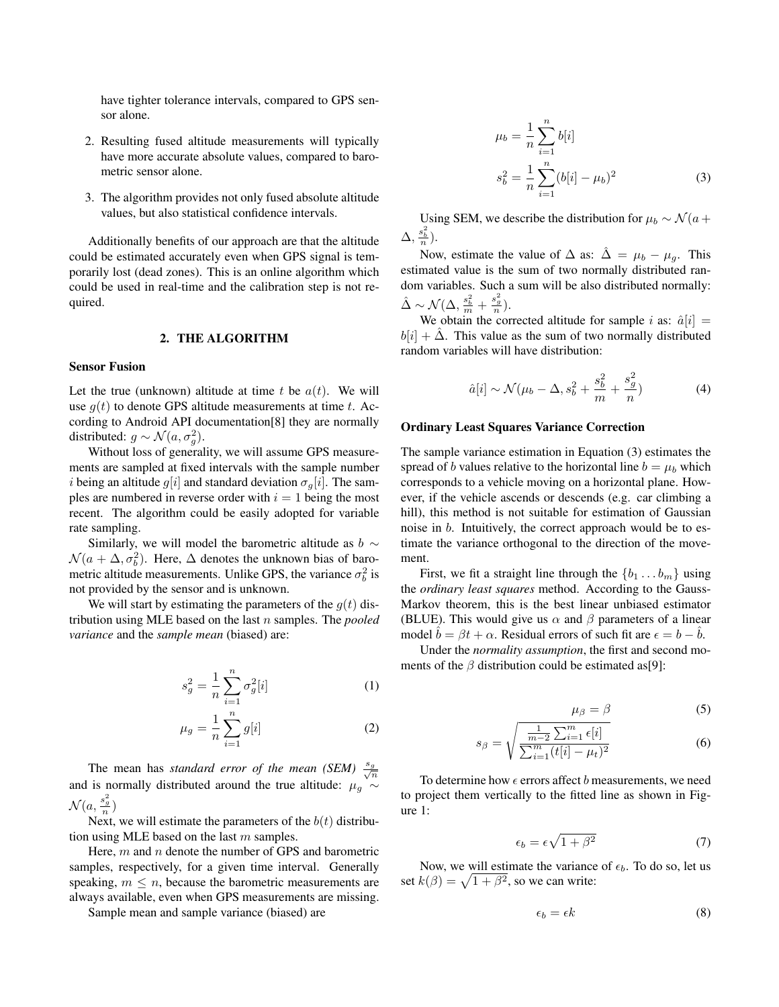have tighter tolerance intervals, compared to GPS sensor alone.

- 2. Resulting fused altitude measurements will typically have more accurate absolute values, compared to barometric sensor alone.
- 3. The algorithm provides not only fused absolute altitude values, but also statistical confidence intervals.

Additionally benefits of our approach are that the altitude could be estimated accurately even when GPS signal is temporarily lost (dead zones). This is an online algorithm which could be used in real-time and the calibration step is not required.

#### 2. THE ALGORITHM

#### Sensor Fusion

Let the true (unknown) altitude at time  $t$  be  $a(t)$ . We will use *g*(*t*) to denote GPS altitude measurements at time *t*. According to Android API documentation[8] they are normally distributed:  $g \sim \mathcal{N}(a, \sigma_g^2)$ .

Without loss of generality, we will assume GPS measurements are sampled at fixed intervals with the sample number *i* being an altitude  $g[i]$  and standard deviation  $\sigma_q[i]$ . The samples are numbered in reverse order with  $i = 1$  being the most recent. The algorithm could be easily adopted for variable rate sampling.

Similarly, we will model the barometric altitude as  $b \sim$  $\mathcal{N}(a + \Delta, \sigma_b^2)$ . Here,  $\Delta$  denotes the unknown bias of barometric altitude measurements. Unlike GPS, the variance  $\sigma_b^2$  is not provided by the sensor and is unknown.

We will start by estimating the parameters of the  $q(t)$  distribution using MLE based on the last *n* samples. The *pooled variance* and the *sample mean* (biased) are:

$$
s_g^2 = \frac{1}{n} \sum_{i=1}^n \sigma_g^2[i] \tag{1}
$$

$$
\mu_g = \frac{1}{n} \sum_{i=1}^n g[i] \tag{2}
$$

The mean has *standard error of the mean (SEM)*  $\frac{s_g}{\sqrt{s}}$ *n* and is normally distributed around the true altitude:  $\mu_g \sim$  $\mathcal{N}(a, \frac{s_g^2}{n})$ 

Next, we will estimate the parameters of the  $b(t)$  distribution using MLE based on the last *m* samples.

Here, *m* and *n* denote the number of GPS and barometric samples, respectively, for a given time interval. Generally speaking,  $m \leq n$ , because the barometric measurements are always available, even when GPS measurements are missing.

Sample mean and sample variance (biased) are

$$
\mu_b = \frac{1}{n} \sum_{i=1}^n b[i]
$$
  

$$
s_b^2 = \frac{1}{n} \sum_{i=1}^n (b[i] - \mu_b)^2
$$
 (3)

Using SEM, we describe the distribution for  $\mu_b \sim \mathcal{N}(a +$  $\Delta, \frac{s_b^2}{n}$ ).

Now, estimate the value of  $\Delta$  as:  $\overline{\Delta} = \mu_b - \mu_g$ . This estimated value is the sum of two normally distributed random variables. Such a sum will be also distributed normally:  $\hat{\Delta} \sim \mathcal{N}(\Delta, \frac{s_b^2}{m} + \frac{s_g^2}{n}).$ 

We obtain the corrected altitude for sample *i* as:  $\hat{a}[i]$  =  $b[i] + \Delta$ . This value as the sum of two normally distributed random variables will have distribution:

$$
\hat{a}[i] \sim \mathcal{N}(\mu_b - \Delta, s_b^2 + \frac{s_b^2}{m} + \frac{s_g^2}{n})
$$
\n(4)

#### Ordinary Least Squares Variance Correction

The sample variance estimation in Equation (3) estimates the spread of *b* values relative to the horizontal line  $b = \mu_b$  which corresponds to a vehicle moving on a horizontal plane. However, if the vehicle ascends or descends (e.g. car climbing a hill), this method is not suitable for estimation of Gaussian noise in *b*. Intuitively, the correct approach would be to estimate the variance orthogonal to the direction of the movement.

First, we fit a straight line through the  $\{b_1 \ldots b_m\}$  using the *ordinary least squares* method. According to the Gauss-Markov theorem, this is the best linear unbiased estimator (BLUE). This would give us  $\alpha$  and  $\beta$  parameters of a linear model  $b = \beta t + \alpha$ . Residual errors of such fit are  $\epsilon = b - b$ .

Under the *normality assumption*, the first and second moments of the  $\beta$  distribution could be estimated as[9]:

$$
\mu_{\beta} = \beta \tag{5}
$$

$$
s_{\beta} = \sqrt{\frac{\frac{1}{m-2} \sum_{i=1}^{m} \epsilon[i]}{\sum_{i=1}^{m} (t[i] - \mu_t)^2}}
$$
(6)

To determine how  $\epsilon$  errors affect *b* measurements, we need to project them vertically to the fitted line as shown in Figure 1:

$$
\epsilon_b = \epsilon \sqrt{1 + \beta^2} \tag{7}
$$

Now, we will estimate the variance of  $\epsilon_b$ . To do so, let us set  $k(\beta) = \sqrt{1 + \beta^2}$ , so we can write:

$$
\epsilon_b = \epsilon k \tag{8}
$$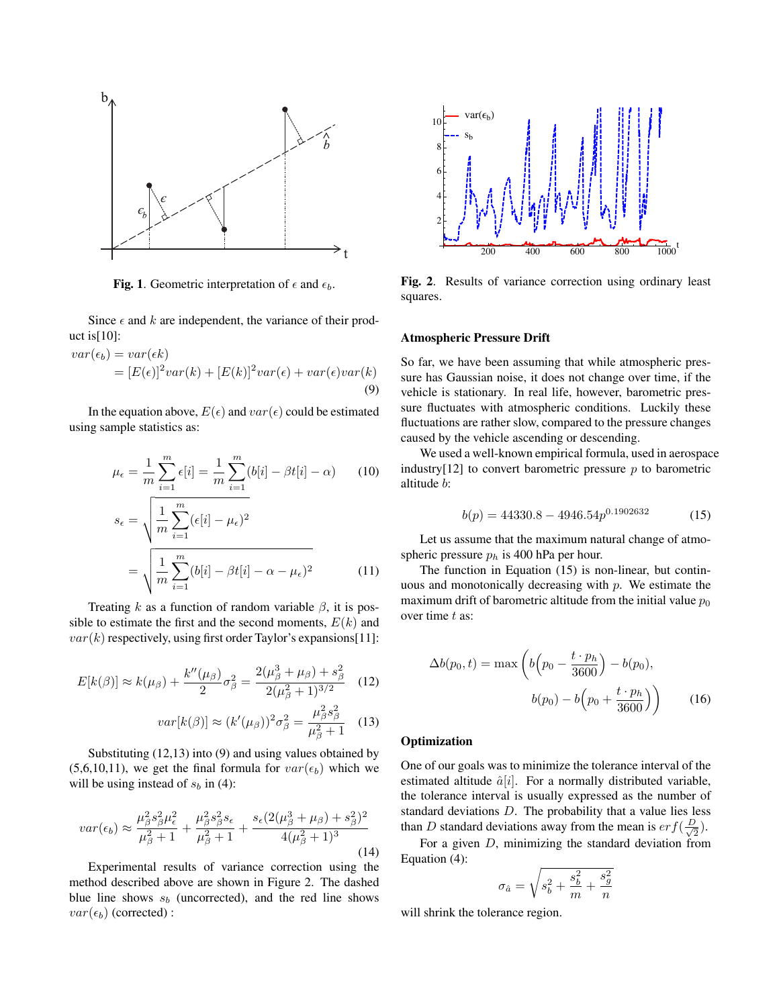

Fig. 1. Geometric interpretation of  $\epsilon$  and  $\epsilon_b$ .

Since  $\epsilon$  and  $k$  are independent, the variance of their product is $[10]$ :

$$
var(\epsilon_b) = var(\epsilon k)
$$
  
=  $[E(\epsilon)]^2 var(k) + [E(k)]^2 var(\epsilon) + var(\epsilon) var(k)$   
(9)

In the equation above,  $E(\epsilon)$  and  $var(\epsilon)$  could be estimated using sample statistics as:

$$
\mu_{\epsilon} = \frac{1}{m} \sum_{i=1}^{m} \epsilon[i] = \frac{1}{m} \sum_{i=1}^{m} (b[i] - \beta t[i] - \alpha)
$$
 (10)  

$$
s_{\epsilon} = \sqrt{\frac{1}{m} \sum_{i=1}^{m} (\epsilon[i] - \mu_{\epsilon})^2}
$$

$$
= \sqrt{\frac{1}{m} \sum_{i=1}^{m} (b[i] - \beta t[i] - \alpha - \mu_{\epsilon})^2}
$$
 (11)

Treating  $k$  as a function of random variable  $\beta$ , it is possible to estimate the first and the second moments,  $E(k)$  and  $var(k)$  respectively, using first order Taylor's expansions [11]:

$$
E[k(\beta)] \approx k(\mu_{\beta}) + \frac{k''(\mu_{\beta})}{2}\sigma_{\beta}^{2} = \frac{2(\mu_{\beta}^{3} + \mu_{\beta}) + s_{\beta}^{2}}{2(\mu_{\beta}^{2} + 1)^{3/2}}
$$
(12)  

$$
var[k(\beta)] \approx (k'(\mu_{\beta}))^{2}\sigma_{\beta}^{2} = \frac{\mu_{\beta}^{2} s_{\beta}^{2}}{\mu_{\beta}^{2} + 1}
$$
(13)

Substituting (12,13) into (9) and using values obtained by  $(5,6,10,11)$ , we get the final formula for  $var(\epsilon_b)$  which we will be using instead of  $s_b$  in (4):

$$
var(\epsilon_b) \approx \frac{\mu_\beta^2 s_\beta^2 \mu_\epsilon^2}{\mu_\beta^2 + 1} + \frac{\mu_\beta^2 s_\beta^2 s_\epsilon}{\mu_\beta^2 + 1} + \frac{s_\epsilon (2(\mu_\beta^3 + \mu_\beta) + s_\beta^2)^2}{4(\mu_\beta^2 + 1)^3}
$$
(14)

Experimental results of variance correction using the method described above are shown in Figure 2. The dashed blue line shows  $s_b$  (uncorrected), and the red line shows  $var(\epsilon_b)$  (corrected) :



Fig. 2. Results of variance correction using ordinary least squares.

#### Atmospheric Pressure Drift

So far, we have been assuming that while atmospheric pressure has Gaussian noise, it does not change over time, if the vehicle is stationary. In real life, however, barometric pressure fluctuates with atmospheric conditions. Luckily these fluctuations are rather slow, compared to the pressure changes caused by the vehicle ascending or descending.

We used a well-known empirical formula, used in aerospace industry[12] to convert barometric pressure *p* to barometric altitude *b*:

$$
b(p) = 44330.8 - 4946.54p^{0.1902632}
$$
 (15)

Let us assume that the maximum natural change of atmospheric pressure *p<sup>h</sup>* is 400 hPa per hour.

The function in Equation (15) is non-linear, but continuous and monotonically decreasing with *p*. We estimate the maximum drift of barometric altitude from the initial value  $p_0$ over time *t* as:

$$
\Delta b(p_0, t) = \max \left( b \left( p_0 - \frac{t \cdot p_h}{3600} \right) - b(p_0), \right. \n b(p_0) - b \left( p_0 + \frac{t \cdot p_h}{3600} \right) \right) \tag{16}
$$

# **Optimization**

One of our goals was to minimize the tolerance interval of the estimated altitude  $\hat{a}[i]$ . For a normally distributed variable, the tolerance interval is usually expressed as the number of standard deviations *D*. The probability that a value lies less than *D* standard deviations away from the mean is  $erf(\frac{D}{\sqrt{2}})$ .

For a given *D*, minimizing the standard deviation from Equation (4):

$$
\sigma_{\hat a}=\sqrt{s_b^2+\frac{s_b^2}{m}+\frac{s_g^2}{n}}
$$

will shrink the tolerance region.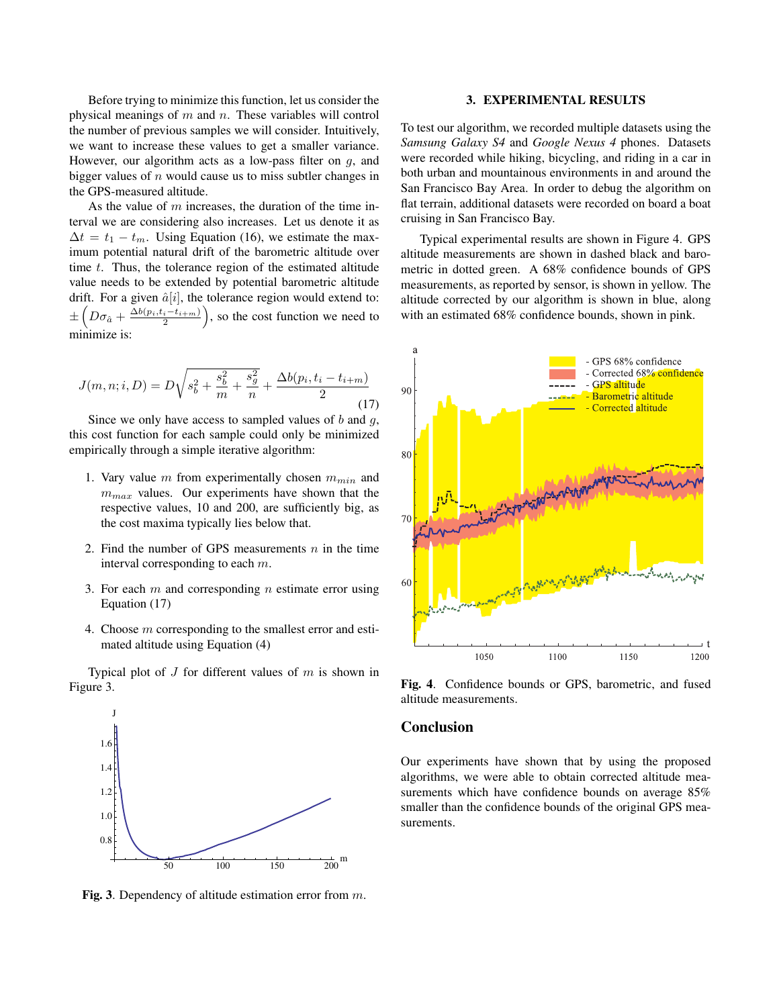Before trying to minimize this function, let us consider the physical meanings of *m* and *n*. These variables will control the number of previous samples we will consider. Intuitively, we want to increase these values to get a smaller variance. However, our algorithm acts as a low-pass filter on *g*, and bigger values of *n* would cause us to miss subtler changes in the GPS-measured altitude.

As the value of *m* increases, the duration of the time interval we are considering also increases. Let us denote it as  $\Delta t = t_1 - t_m$ . Using Equation (16), we estimate the maximum potential natural drift of the barometric altitude over time *t*. Thus, the tolerance region of the estimated altitude value needs to be extended by potential barometric altitude drift. For a given  $\hat{a}[i]$ , the tolerance region would extend to: *±*  $\left(D\sigma_{\hat{a}} + \frac{\Delta b(p_i, t_i - t_{i+m})}{2}\right)$ ), so the cost function we need to minimize is:

$$
J(m, n; i, D) = D\sqrt{s_b^2 + \frac{s_b^2}{m} + \frac{s_g^2}{n}} + \frac{\Delta b(p_i, t_i - t_{i+m})}{2}
$$
(17)

Since we only have access to sampled values of *b* and *g*, this cost function for each sample could only be minimized empirically through a simple iterative algorithm:

- 1. Vary value *m* from experimentally chosen *mmin* and *mmax* values. Our experiments have shown that the respective values, 10 and 200, are sufficiently big, as the cost maxima typically lies below that.
- 2. Find the number of GPS measurements *n* in the time interval corresponding to each *m*.
- 3. For each *m* and corresponding *n* estimate error using Equation (17)
- 4. Choose *m* corresponding to the smallest error and estimated altitude using Equation (4)

Typical plot of *J* for different values of *m* is shown in Figure 3.



Fig. 3. Dependency of altitude estimation error from *m*.

# 3. EXPERIMENTAL RESULTS

To test our algorithm, we recorded multiple datasets using the *Samsung Galaxy S4* and *Google Nexus 4* phones. Datasets were recorded while hiking, bicycling, and riding in a car in both urban and mountainous environments in and around the San Francisco Bay Area. In order to debug the algorithm on flat terrain, additional datasets were recorded on board a boat cruising in San Francisco Bay.

Typical experimental results are shown in Figure 4. GPS altitude measurements are shown in dashed black and barometric in dotted green. A 68% confidence bounds of GPS measurements, as reported by sensor, is shown in yellow. The altitude corrected by our algorithm is shown in blue, along with an estimated 68% confidence bounds, shown in pink.



Fig. 4. Confidence bounds or GPS, barometric, and fused altitude measurements.

# Conclusion

Our experiments have shown that by using the proposed algorithms, we were able to obtain corrected altitude measurements which have confidence bounds on average 85% smaller than the confidence bounds of the original GPS measurements.